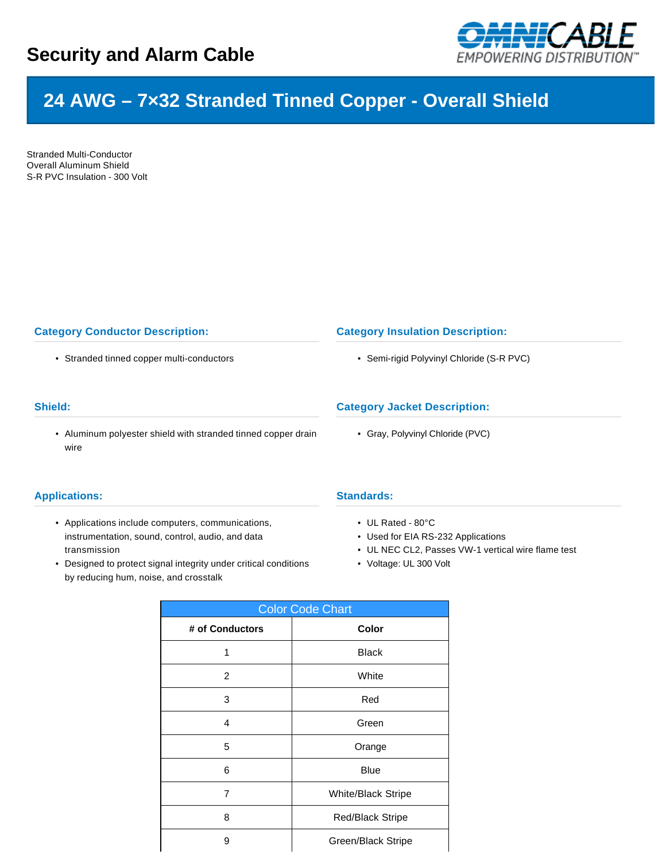

# **24 AWG – 7×32 Stranded Tinned Copper - Overall Shield**

Stranded Multi-Conductor Overall Aluminum Shield S-R PVC Insulation - 300 Volt

## **Category Conductor Description:**

• Stranded tinned copper multi-conductors

## **Shield:**

• Aluminum polyester shield with stranded tinned copper drain wire

### **Applications:**

- Applications include computers, communications, instrumentation, sound, control, audio, and data transmission
- Designed to protect signal integrity under critical conditions by reducing hum, noise, and crosstalk

#### **Category Insulation Description:**

• Semi-rigid Polyvinyl Chloride (S-R PVC)

## **Category Jacket Description:**

• Gray, Polyvinyl Chloride (PVC)

#### **Standards:**

- UL Rated 80°C
- Used for EIA RS-232 Applications
- UL NEC CL2, Passes VW-1 vertical wire flame test
- Voltage: UL 300 Volt

| <b>Color Code Chart</b> |                         |  |  |  |
|-------------------------|-------------------------|--|--|--|
| # of Conductors         | Color                   |  |  |  |
| 1                       | <b>Black</b>            |  |  |  |
| $\overline{2}$          | White                   |  |  |  |
| 3                       | Red                     |  |  |  |
| 4                       | Green                   |  |  |  |
| 5                       | Orange                  |  |  |  |
| 6                       | <b>Blue</b>             |  |  |  |
| 7                       | White/Black Stripe      |  |  |  |
| 8                       | <b>Red/Black Stripe</b> |  |  |  |
| 9                       | Green/Black Stripe      |  |  |  |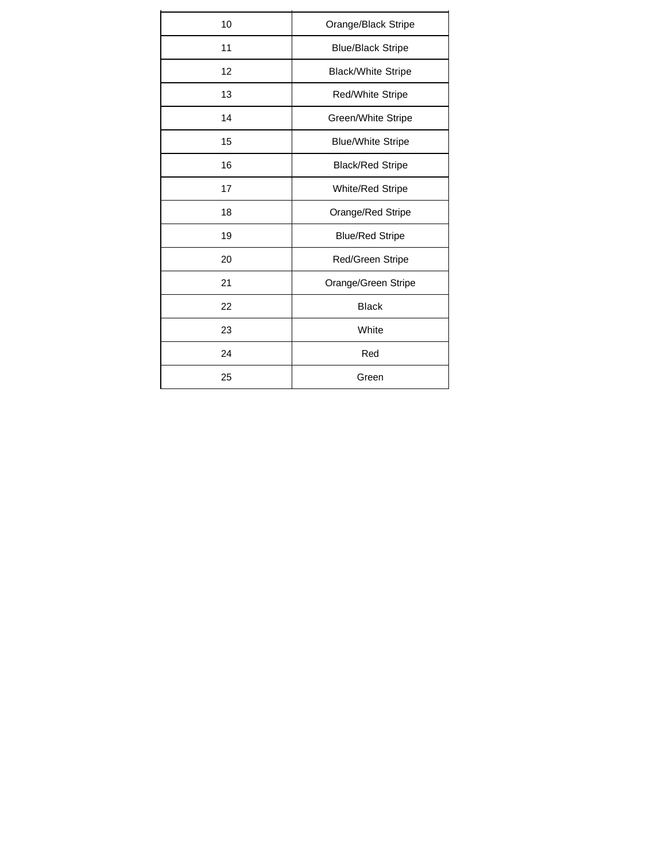| 10 | Orange/Black Stripe       |  |  |  |  |
|----|---------------------------|--|--|--|--|
| 11 | <b>Blue/Black Stripe</b>  |  |  |  |  |
| 12 | <b>Black/White Stripe</b> |  |  |  |  |
| 13 | Red/White Stripe          |  |  |  |  |
| 14 | Green/White Stripe        |  |  |  |  |
| 15 | <b>Blue/White Stripe</b>  |  |  |  |  |
| 16 | <b>Black/Red Stripe</b>   |  |  |  |  |
| 17 | <b>White/Red Stripe</b>   |  |  |  |  |
| 18 | Orange/Red Stripe         |  |  |  |  |
| 19 | <b>Blue/Red Stripe</b>    |  |  |  |  |
| 20 | Red/Green Stripe          |  |  |  |  |
| 21 | Orange/Green Stripe       |  |  |  |  |
| 22 | <b>Black</b>              |  |  |  |  |
| 23 | White                     |  |  |  |  |
| 24 | Red                       |  |  |  |  |
| 25 | Green                     |  |  |  |  |